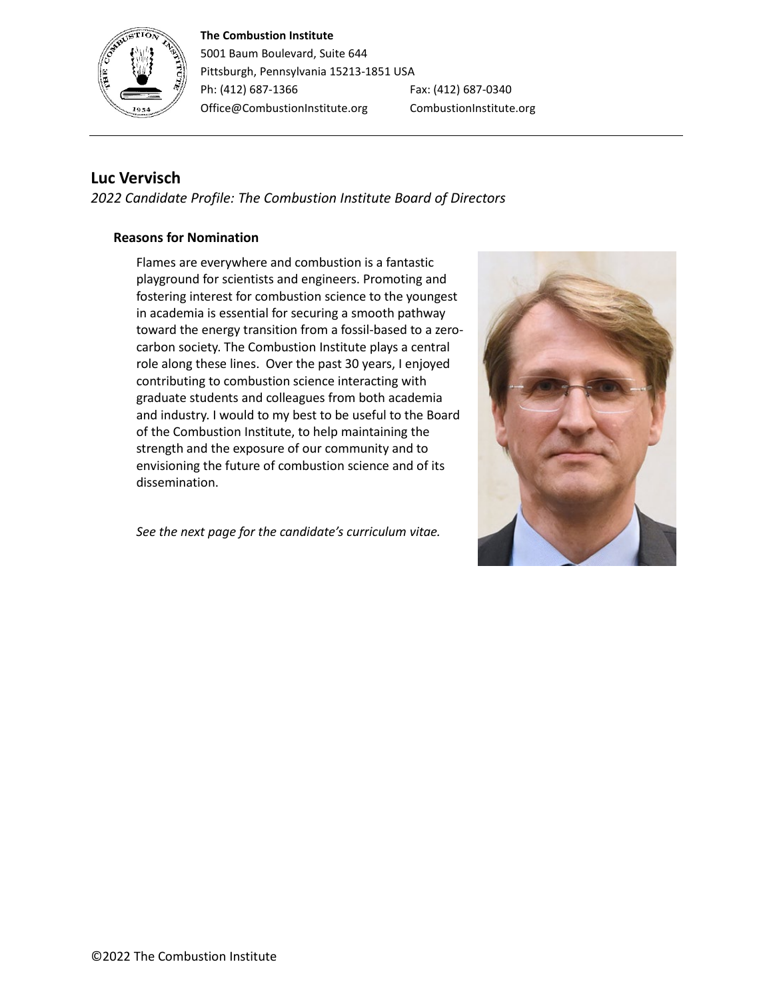#### **The Combustion Institute**



5001 Baum Boulevard, Suite 644 Pittsburgh, Pennsylvania 15213-1851 USA Ph: (412) 687-1366 Fax: (412) 687-0340 Office@CombustionInstitute.org CombustionInstitute.org

# **Luc Vervisch**

*2022 Candidate Profile: The Combustion Institute Board of Directors*

## **Reasons for Nomination**

Flames are everywhere and combustion is a fantastic playground for scientists and engineers. Promoting and fostering interest for combustion science to the youngest in academia is essential for securing a smooth pathway toward the energy transition from a fossil-based to a zerocarbon society. The Combustion Institute plays a central role along these lines. Over the past 30 years, I enjoyed contributing to combustion science interacting with graduate students and colleagues from both academia and industry. I would to my best to be useful to the Board of the Combustion Institute, to help maintaining the strength and the exposure of our community and to envisioning the future of combustion science and of its dissemination.

*See the next page for the candidate's curriculum vitae.*